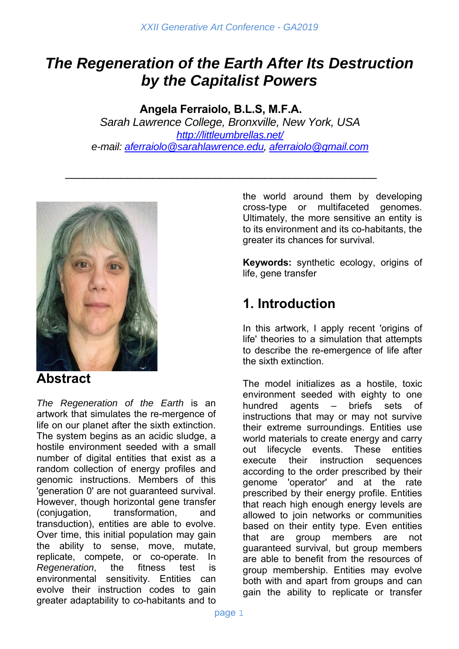# *The Regeneration of the Earth After Its Destruction by the Capitalist Powers*

**Angela Ferraiolo, B.L.S, M.F.A.** *Sarah Lawrence College, Bronxville, New York, USA http://littleumbrellas.net/ e-mail: aferraiolo@sarahlawrence.edu, aferraiolo@gmail.com*

\_\_\_\_\_\_\_\_\_\_\_\_\_\_\_\_\_\_\_\_\_\_\_\_\_\_\_\_\_\_\_\_\_\_\_\_\_\_\_\_\_\_\_\_\_\_\_\_\_\_



### **Abstract**

*The Regeneration of the Earth* is an artwork that simulates the re-mergence of life on our planet after the sixth extinction. The system begins as an acidic sludge, a hostile environment seeded with a small number of digital entities that exist as a random collection of energy profiles and genomic instructions. Members of this 'generation 0' are not guaranteed survival. However, though horizontal gene transfer (conjugation, transformation, transduction), entities are able to evolve. Over time, this initial population may gain the ability to sense, move, mutate, replicate, compete, or co-operate. In *Regeneration*, the fitness test is environmental sensitivity. Entities can evolve their instruction codes to gain greater adaptability to co-habitants and to the world around them by developing cross-type or multifaceted genomes. Ultimately, the more sensitive an entity is to its environment and its co-habitants, the greater its chances for survival.

**Keywords:** synthetic ecology, origins of life, gene transfer

## **1. Introduction**

In this artwork, I apply recent 'origins of life' theories to a simulation that attempts to describe the re-emergence of life after the sixth extinction.

The model initializes as a hostile, toxic environment seeded with eighty to one hundred agents – briefs sets of instructions that may or may not survive their extreme surroundings. Entities use world materials to create energy and carry out lifecycle events. These entities execute their instruction sequences according to the order prescribed by their genome 'operator' and at the rate prescribed by their energy profile. Entities that reach high enough energy levels are allowed to join networks or communities based on their entity type. Even entities that are group members are not guaranteed survival, but group members are able to benefit from the resources of group membership. Entities may evolve both with and apart from groups and can gain the ability to replicate or transfer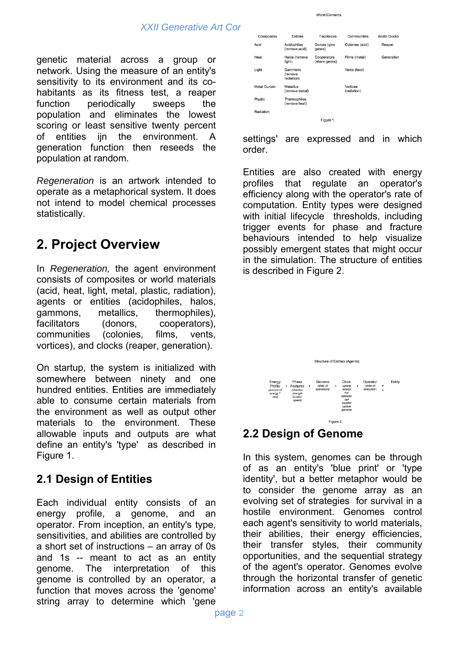genetic material across a group or network. Using the measure of an entity's sensitivity to its environment and its cohabitants as its fitness test, a reaper function periodically sweeps the population and eliminates the lowest scoring or least sensitive twenty percent of entities ijn the environment. A generation function then reseeds the population at random.

*Regeneration* is an artwork intended to operate as a metaphorical system. It does not intend to model chemical processes statistically.

# **2. Project Overview**

In *Regeneration,* the agent environment consists of composites or world materials (acid, heat, light, metal, plastic, radiation), agents or entities (acidophiles, halos, gammons, metallics, thermophiles), facilitators (donors, cooperators), communities (colonies, films, vents, vortices), and clocks (reaper, generation).

On startup, the system is initialized with somewhere between ninety and one hundred entities. Entities are immediately able to consume certain materials from the environment as well as output other materials to the environment. These allowable inputs and outputs are what define an entity's 'type' as described in Figure 1.

### **2.1 Design of Entities**

Each individual entity consists of an energy profile, a genome, and an operator. From inception, an entity's type, sensitivities, and abilities are controlled by a short set of instructions – an array of 0s and 1s -- meant to act as an entity genome. The interpretation of this genome is controlled by an operator, a function that moves across the 'genome' string array to determine which 'gene

| Composites           | Entities                           | Facilitators                 | Communities             | <b>World Clocks</b> |
|----------------------|------------------------------------|------------------------------|-------------------------|---------------------|
| Acid                 | Acidophiles<br>(remove acid)       | Donors (give<br>genes)       | Colonies (acid)         | Reaper              |
| Heat                 | Halos (remove<br>light)            | Cooperators<br>(share genes) | Films (metal)           | Generation          |
| Light                | Gammons<br>(remove<br>radiation)   |                              | Vents (heat)            |                     |
| <b>Metal Curtain</b> | <b>Metallics</b><br>(remove metal) |                              | Vortices<br>(radiation) |                     |
| Plastic              | Thermophiles<br>(remove heat)      |                              |                         |                     |
| Radiation            |                                    |                              |                         |                     |
|                      |                                    | Figure 1.                    |                         |                     |

World Flements

settings' are expressed and in which order.

Entities are also created with energy profiles that regulate an operator's efficiency along with the operator's rate of computation. Entity types were designed with initial lifecycle thresholds, including trigger events for phase and fracture behaviours intended to help visualize possibly emergent states that might occur in the simulation. The structure of entities is described in Figure 2.



### **2.2 Design of Genome**

In this system, genomes can be through of as an entity's 'blue print' or 'type identity', but a better metaphor would be to consider the genome array as an evolving set of strategies for survival in a hostile environment. Genomes control each agent's sensitivity to world materials, their abilities, their energy efficiencies, their transfer styles, their community opportunities, and the sequential strategy of the agent's operator. Genomes evolve through the horizontal transfer of genetic information across an entity's available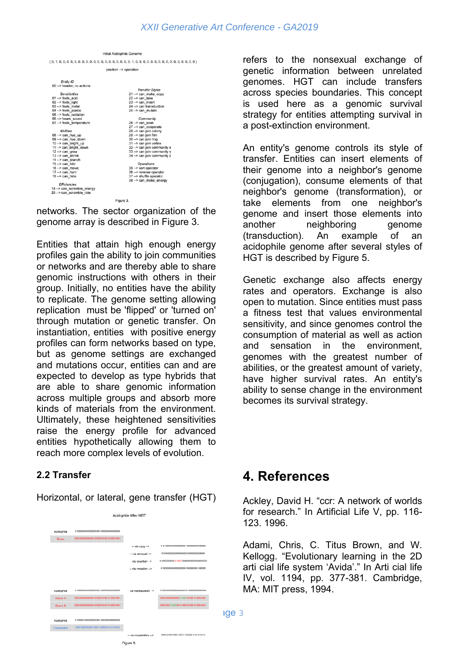|                             | Initial Acidophile Genome    |  |  |  |  |  |  |  |
|-----------------------------|------------------------------|--|--|--|--|--|--|--|
|                             |                              |  |  |  |  |  |  |  |
| position --> operation      |                              |  |  |  |  |  |  |  |
|                             |                              |  |  |  |  |  |  |  |
| <b>Entity ID</b>            |                              |  |  |  |  |  |  |  |
| 00 -- > header, no actions  |                              |  |  |  |  |  |  |  |
|                             | <b>Transfer Styles</b>       |  |  |  |  |  |  |  |
| <b>Sensitivities</b>        | 21 -- > can make copy        |  |  |  |  |  |  |  |
| $01 -$ > feels acid         | $22 \rightarrow can$ take    |  |  |  |  |  |  |  |
| 02 -- > feels light         | 23 -- > can insert           |  |  |  |  |  |  |  |
| 03 -- > feels metal         | 24 -- > can transduction     |  |  |  |  |  |  |  |
| 04 -- > feels plastic       | 25 -- > can mutate           |  |  |  |  |  |  |  |
| 05 -- > feels radiation     |                              |  |  |  |  |  |  |  |
| 06 -- > hears sound         | Community                    |  |  |  |  |  |  |  |
| 07 -- > feels temperature   | $26 \rightarrow can seek$    |  |  |  |  |  |  |  |
|                             | 27 -- > can cooperate        |  |  |  |  |  |  |  |
| <b>Abilities</b>            | 28 -- > can join colony      |  |  |  |  |  |  |  |
| 08 -- > can hue up          | 29 -- > can join film        |  |  |  |  |  |  |  |
| 09 -- > can hue down        | 30 -- > can join ring        |  |  |  |  |  |  |  |
| 10 -- > can bright up       | 31 -- > can join vortex      |  |  |  |  |  |  |  |
| 11 -- > can bright down     | 32 -- > can join community x |  |  |  |  |  |  |  |
| $12 \rightarrow can grow$   | 33 -- > can join community y |  |  |  |  |  |  |  |
| 13 -- > can shrink          | 34 -- > can join community z |  |  |  |  |  |  |  |
| 14 -- > can branch          |                              |  |  |  |  |  |  |  |
| $15 - \geq$ can fold        | Operations                   |  |  |  |  |  |  |  |
| $16 \rightarrow can move;$  | 35 -- > sort operator        |  |  |  |  |  |  |  |
| $17 - \geq$ can hunt        | 36 -- > reverse operator     |  |  |  |  |  |  |  |
| $18 -\ge$ can hide          | 37 -- > shuffle operator     |  |  |  |  |  |  |  |
|                             | 38 -- > can make energy      |  |  |  |  |  |  |  |
| Efficiencies                |                              |  |  |  |  |  |  |  |
| 19 -- > can scramble energy |                              |  |  |  |  |  |  |  |
| 20 -- > can scramble rate   |                              |  |  |  |  |  |  |  |
| Figure 3.                   |                              |  |  |  |  |  |  |  |
|                             |                              |  |  |  |  |  |  |  |

networks. The sector organization of the genome array is described in Figure 3.

Entities that attain high enough energy profiles gain the ability to join communities or networks and are thereby able to share genomic instructions with others in their group. Initially, no entities have the ability to replicate. The genome setting allowing replication must be 'flipped' or 'turned on' through mutation or genetic transfer. On instantiation, entities with positive energy profiles can form networks based on type, but as genome settings are exchanged and mutations occur, entities can and are expected to develop as type hybrids that are able to share genomic information across multiple groups and absorb more kinds of materials from the environment. Ultimately, these heightened sensitivities raise the energy profile for advanced entities hypothetically allowing them to reach more complex levels of evolution.

#### **2.2 Transfer**

Horizontal, or lateral, gene transfer (HGT)

| Acidophile After HGT |                                         |                                 |                                         |  |  |
|----------------------|-----------------------------------------|---------------------------------|-----------------------------------------|--|--|
|                      |                                         |                                 |                                         |  |  |
| Acidophile           |                                         |                                 |                                         |  |  |
| Donor                | 10010000000000010100010100010100010001  |                                 |                                         |  |  |
|                      |                                         | $-$ via copy $-$                | 01013000000000000000010000000000000000  |  |  |
|                      |                                         | - via renoval ->                |                                         |  |  |
|                      |                                         | $-$ via insertion $\rightarrow$ |                                         |  |  |
|                      |                                         | - via mutation -->              | 0100300000000000000001000000000000000   |  |  |
|                      |                                         |                                 |                                         |  |  |
|                      |                                         |                                 |                                         |  |  |
| Acidophile           |                                         | -- via transduction -->         | 01000000000000000000101000000000000000  |  |  |
| Donor A              | 00010000000000010100010100010100010001  |                                 | 00010000000000010100010100010100010001  |  |  |
| Donor B              | 000100000000000101000101000101000010001 |                                 | 00010000101000010100010100010100010001  |  |  |
|                      |                                         |                                 |                                         |  |  |
| Acidephile           |                                         |                                 |                                         |  |  |
| Cooperator           | 00001000090000110011110000010101010110  |                                 |                                         |  |  |
|                      |                                         | - via cooperation -->           | O00010100100001100111100000101010101110 |  |  |
| Figure 5.            |                                         |                                 |                                         |  |  |

refers to the nonsexual exchange of genetic information between unrelated genomes. HGT can include transfers across species boundaries. This concept is used here as a genomic survival strategy for entities attempting survival in a post-extinction environment.

An entity's genome controls its style of transfer. Entities can insert elements of their genome into a neighbor's genome (conjugation), consume elements of that neighbor's genome (transformation), or take elements from one neighbor's genome and insert those elements into another neighboring genome (transduction). An example of an acidophile genome after several styles of HGT is described by Figure 5.

Genetic exchange also affects energy rates and operators. Exchange is also open to mutation. Since entities must pass a fitness test that values environmental sensitivity, and since genomes control the consumption of material as well as action and sensation in the environment, genomes with the greatest number of abilities, or the greatest amount of variety, have higher survival rates. An entity's ability to sense change in the environment becomes its survival strategy.

### **4. References**

Ackley, David H. "ccr: A network of worlds for research." In Artificial Life V, pp. 116- 123. 1996.

Adami, Chris, C. Titus Brown, and W. Kellogg. "Evolutionary learning in the 2D arti cial life system 'Avida'." In Arti cial life IV, vol. 1194, pp. 377-381. Cambridge, MA: MIT press, 1994.

page 3